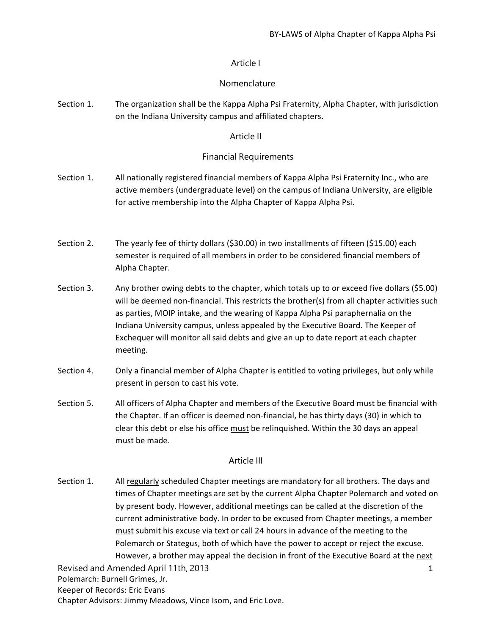# Article I

# Nomenclature

Section 1. The organization shall be the Kappa Alpha Psi Fraternity, Alpha Chapter, with jurisdiction on the Indiana University campus and affiliated chapters.

# Article II

# Financial Requirements

- Section 1. All nationally registered financial members of Kappa Alpha Psi Fraternity Inc., who are active members (undergraduate level) on the campus of Indiana University, are eligible for active membership into the Alpha Chapter of Kappa Alpha Psi.
- Section 2. The yearly fee of thirty dollars (\$30.00) in two installments of fifteen (\$15.00) each semester is required of all members in order to be considered financial members of Alpha Chapter.
- Section 3. Any brother owing debts to the chapter, which totals up to or exceed five dollars (\$5.00) will be deemed non-financial. This restricts the brother(s) from all chapter activities such as parties, MOIP intake, and the wearing of Kappa Alpha Psi paraphernalia on the Indiana University campus, unless appealed by the Executive Board. The Keeper of Exchequer will monitor all said debts and give an up to date report at each chapter meeting.
- Section 4. Only a financial member of Alpha Chapter is entitled to voting privileges, but only while present in person to cast his vote.
- Section 5. All officers of Alpha Chapter and members of the Executive Board must be financial with the Chapter. If an officer is deemed non-financial, he has thirty days (30) in which to clear this debt or else his office must be relinquished. Within the 30 days an appeal must be made.

# Article III

Section 1. All regularly scheduled Chapter meetings are mandatory for all brothers. The days and times of Chapter meetings are set by the current Alpha Chapter Polemarch and voted on by present body. However, additional meetings can be called at the discretion of the current administrative body. In order to be excused from Chapter meetings, a member must submit his excuse via text or call 24 hours in advance of the meeting to the Polemarch or Stategus, both of which have the power to accept or reject the excuse. However, a brother may appeal the decision in front of the Executive Board at the next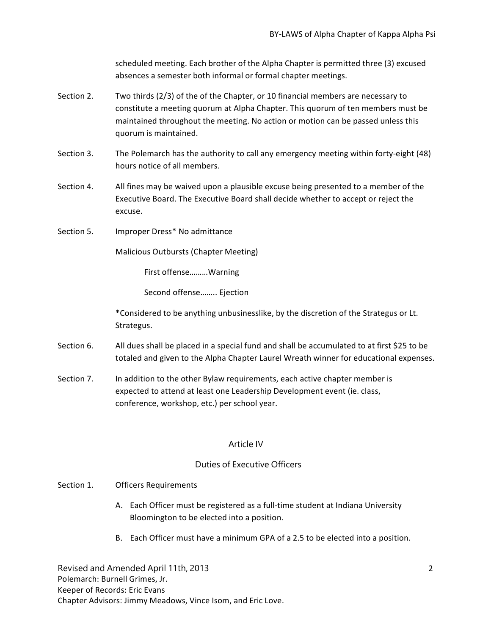scheduled meeting. Each brother of the Alpha Chapter is permitted three (3) excused absences a semester both informal or formal chapter meetings.

- Section 2. Two thirds (2/3) of the of the Chapter, or 10 financial members are necessary to constitute a meeting quorum at Alpha Chapter. This quorum of ten members must be maintained throughout the meeting. No action or motion can be passed unless this quorum is maintained.
- Section 3. The Polemarch has the authority to call any emergency meeting within forty-eight (48) hours notice of all members.
- Section 4. All fines may be waived upon a plausible excuse being presented to a member of the Executive Board. The Executive Board shall decide whether to accept or reject the excuse.
- Section 5. Improper Dress\* No admittance

Malicious Outbursts (Chapter Meeting)

First offense………Warning

Second offense…….. Ejection

\*Considered to be anything unbusinesslike, by the discretion of the Strategus or Lt. Strategus.

- Section 6. All dues shall be placed in a special fund and shall be accumulated to at first \$25 to be totaled and given to the Alpha Chapter Laurel Wreath winner for educational expenses.
- Section 7. In addition to the other Bylaw requirements, each active chapter member is expected to attend at least one Leadership Development event (ie. class, conference, workshop, etc.) per school year.

### Article IV

# Duties of Executive Officers

- Section 1. Officers Requirements
	- A. Each Officer must be registered as a full-time student at Indiana University Bloomington to be elected into a position.
	- B. Each Officer must have a minimum GPA of a 2.5 to be elected into a position.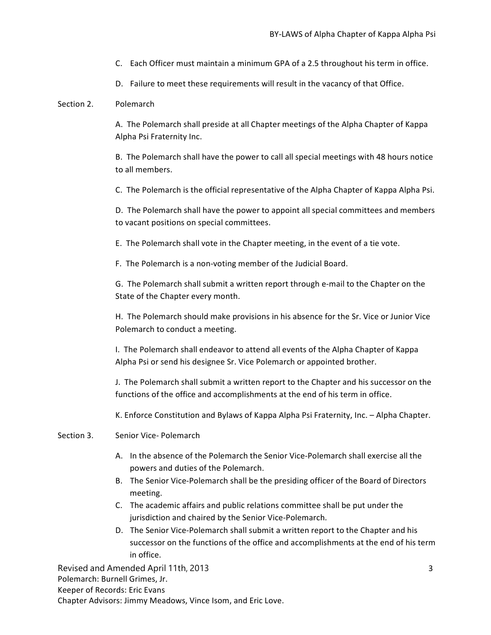- C. Each Officer must maintain a minimum GPA of a 2.5 throughout his term in office.
- D. Failure to meet these requirements will result in the vacancy of that Office.

#### Section 2. Polemarch

A. The Polemarch shall preside at all Chapter meetings of the Alpha Chapter of Kappa Alpha Psi Fraternity Inc.

B. The Polemarch shall have the power to call all special meetings with 48 hours notice to all members.

C. The Polemarch is the official representative of the Alpha Chapter of Kappa Alpha Psi.

D. The Polemarch shall have the power to appoint all special committees and members to vacant positions on special committees.

E. The Polemarch shall vote in the Chapter meeting, in the event of a tie vote.

F. The Polemarch is a non-voting member of the Judicial Board.

G. The Polemarch shall submit a written report through e-mail to the Chapter on the State of the Chapter every month.

H. The Polemarch should make provisions in his absence for the Sr. Vice or Junior Vice Polemarch to conduct a meeting.

I. The Polemarch shall endeavor to attend all events of the Alpha Chapter of Kappa Alpha Psi or send his designee Sr. Vice Polemarch or appointed brother.

J. The Polemarch shall submit a written report to the Chapter and his successor on the functions of the office and accomplishments at the end of his term in office.

K. Enforce Constitution and Bylaws of Kappa Alpha Psi Fraternity, Inc. – Alpha Chapter.

#### Section 3. Senior Vice- Polemarch

- A. In the absence of the Polemarch the Senior Vice-Polemarch shall exercise all the powers and duties of the Polemarch.
- B. The Senior Vice-Polemarch shall be the presiding officer of the Board of Directors meeting.
- C. The academic affairs and public relations committee shall be put under the jurisdiction and chaired by the Senior Vice-Polemarch.
- D. The Senior Vice-Polemarch shall submit a written report to the Chapter and his successor on the functions of the office and accomplishments at the end of his term in office.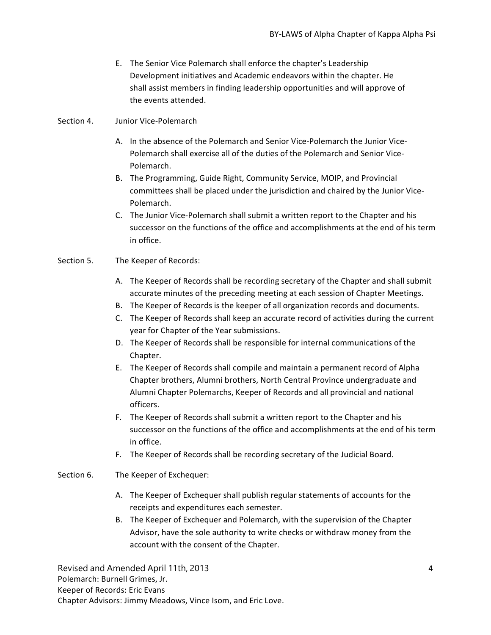- E. The Senior Vice Polemarch shall enforce the chapter's Leadership Development initiatives and Academic endeavors within the chapter. He shall assist members in finding leadership opportunities and will approve of the events attended.
- Section 4. Junior Vice-Polemarch
	- A. In the absence of the Polemarch and Senior Vice-Polemarch the Junior Vice-Polemarch shall exercise all of the duties of the Polemarch and Senior Vice-Polemarch.
	- B. The Programming, Guide Right, Community Service, MOIP, and Provincial committees shall be placed under the jurisdiction and chaired by the Junior Vice-Polemarch.
	- C. The Junior Vice-Polemarch shall submit a written report to the Chapter and his successor on the functions of the office and accomplishments at the end of his term in office.

### Section 5. The Keeper of Records:

- A. The Keeper of Records shall be recording secretary of the Chapter and shall submit accurate minutes of the preceding meeting at each session of Chapter Meetings.
- B. The Keeper of Records is the keeper of all organization records and documents.
- C. The Keeper of Records shall keep an accurate record of activities during the current year for Chapter of the Year submissions.
- D. The Keeper of Records shall be responsible for internal communications of the Chapter.
- E. The Keeper of Records shall compile and maintain a permanent record of Alpha Chapter brothers, Alumni brothers, North Central Province undergraduate and Alumni Chapter Polemarchs, Keeper of Records and all provincial and national officers.
- F. The Keeper of Records shall submit a written report to the Chapter and his successor on the functions of the office and accomplishments at the end of his term in office.
- F. The Keeper of Records shall be recording secretary of the Judicial Board.

### Section 6. The Keeper of Exchequer:

- A. The Keeper of Exchequer shall publish regular statements of accounts for the receipts and expenditures each semester.
- B. The Keeper of Exchequer and Polemarch, with the supervision of the Chapter Advisor, have the sole authority to write checks or withdraw money from the account with the consent of the Chapter.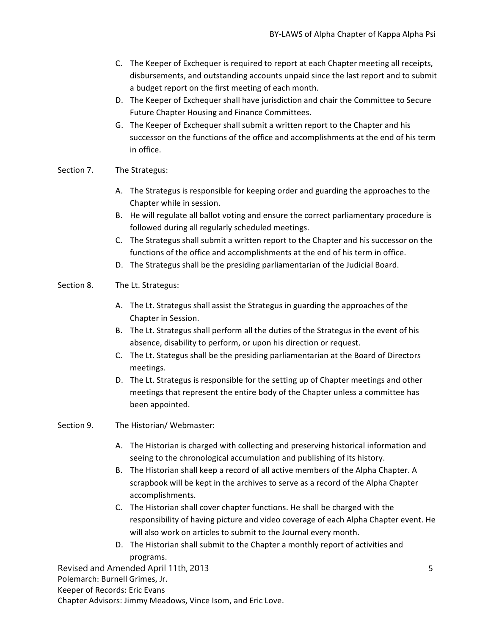- C. The Keeper of Exchequer is required to report at each Chapter meeting all receipts, disbursements, and outstanding accounts unpaid since the last report and to submit a budget report on the first meeting of each month.
- D. The Keeper of Exchequer shall have jurisdiction and chair the Committee to Secure Future Chapter Housing and Finance Committees.
- G. The Keeper of Exchequer shall submit a written report to the Chapter and his successor on the functions of the office and accomplishments at the end of his term in office.

### Section 7. The Strategus:

- A. The Strategus is responsible for keeping order and guarding the approaches to the Chapter while in session.
- B. He will regulate all ballot voting and ensure the correct parliamentary procedure is followed during all regularly scheduled meetings.
- C. The Strategus shall submit a written report to the Chapter and his successor on the functions of the office and accomplishments at the end of his term in office.
- D. The Strategus shall be the presiding parliamentarian of the Judicial Board.

# Section 8. The Lt. Strategus:

- A. The Lt. Strategus shall assist the Strategus in guarding the approaches of the Chapter in Session.
- B. The Lt. Strategus shall perform all the duties of the Strategus in the event of his absence, disability to perform, or upon his direction or request.
- C. The Lt. Stategus shall be the presiding parliamentarian at the Board of Directors meetings.
- D. The Lt. Strategus is responsible for the setting up of Chapter meetings and other meetings that represent the entire body of the Chapter unless a committee has been appointed.

### Section 9. The Historian/ Webmaster:

- A. The Historian is charged with collecting and preserving historical information and seeing to the chronological accumulation and publishing of its history.
- B. The Historian shall keep a record of all active members of the Alpha Chapter. A scrapbook will be kept in the archives to serve as a record of the Alpha Chapter accomplishments.
- C. The Historian shall cover chapter functions. He shall be charged with the responsibility of having picture and video coverage of each Alpha Chapter event. He will also work on articles to submit to the Journal every month.
- D. The Historian shall submit to the Chapter a monthly report of activities and programs.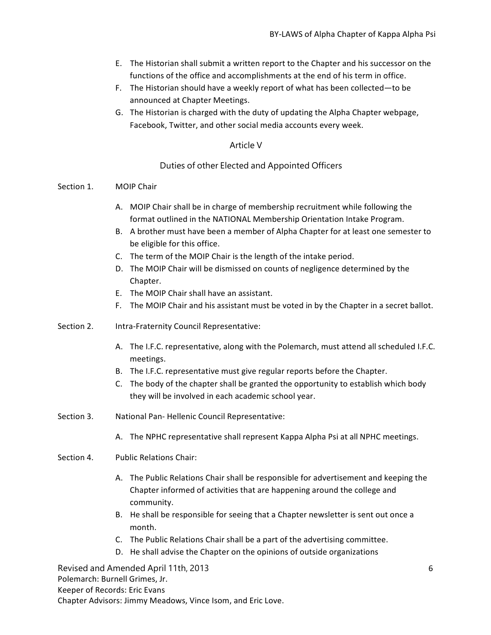- E. The Historian shall submit a written report to the Chapter and his successor on the functions of the office and accomplishments at the end of his term in office.
- F. The Historian should have a weekly report of what has been collected—to be announced at Chapter Meetings.
- G. The Historian is charged with the duty of updating the Alpha Chapter webpage, Facebook, Twitter, and other social media accounts every week.

# Article V

## Duties of other Elected and Appointed Officers

### Section 1. MOIP Chair

- A. MOIP Chair shall be in charge of membership recruitment while following the format outlined in the NATIONAL Membership Orientation Intake Program.
- B. A brother must have been a member of Alpha Chapter for at least one semester to be eligible for this office.
- C. The term of the MOIP Chair is the length of the intake period.
- D. The MOIP Chair will be dismissed on counts of negligence determined by the Chapter.
- E. The MOIP Chair shall have an assistant.
- F. The MOIP Chair and his assistant must be voted in by the Chapter in a secret ballot.
- Section 2. Intra-Fraternity Council Representative:
	- A. The I.F.C. representative, along with the Polemarch, must attend all scheduled I.F.C. meetings.
	- B. The I.F.C. representative must give regular reports before the Chapter.
	- C. The body of the chapter shall be granted the opportunity to establish which body they will be involved in each academic school year.
- Section 3. National Pan- Hellenic Council Representative:
	- A. The NPHC representative shall represent Kappa Alpha Psi at all NPHC meetings.
- Section 4. Public Relations Chair:
	- A. The Public Relations Chair shall be responsible for advertisement and keeping the Chapter informed of activities that are happening around the college and community.
	- B. He shall be responsible for seeing that a Chapter newsletter is sent out once a month.
	- C. The Public Relations Chair shall be a part of the advertising committee.
	- D. He shall advise the Chapter on the opinions of outside organizations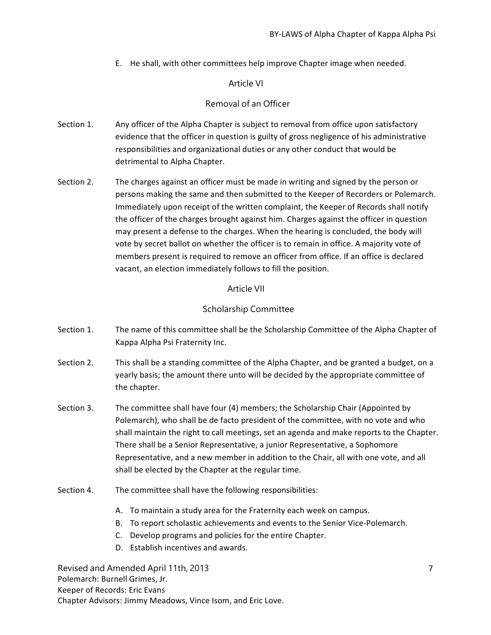E. He shall, with other committees help improve Chapter image when needed.

# Article VI

# Removal of an Officer

- Section 1. Any officer of the Alpha Chapter is subject to removal from office upon satisfactory evidence that the officer in question is guilty of gross negligence of his administrative responsibilities and organizational duties or any other conduct that would be detrimental to Alpha Chapter.
- Section 2. The charges against an officer must be made in writing and signed by the person or persons making the same and then submitted to the Keeper of Recorders or Polemarch. Immediately upon receipt of the written complaint, the Keeper of Records shall notify the officer of the charges brought against him. Charges against the officer in question may present a defense to the charges. When the hearing is concluded, the body will vote by secret ballot on whether the officer is to remain in office. A majority vote of members present is required to remove an officer from office. If an office is declared vacant, an election immediately follows to fill the position.

## Article VII

# Scholarship Committee

- Section 1. The name of this committee shall be the Scholarship Committee of the Alpha Chapter of Kappa Alpha Psi Fraternity Inc.
- Section 2. This shall be a standing committee of the Alpha Chapter, and be granted a budget, on a yearly basis; the amount there unto will be decided by the appropriate committee of the chapter.
- Section 3. The committee shall have four (4) members; the Scholarship Chair (Appointed by Polemarch), who shall be de facto president of the committee, with no vote and who shall maintain the right to call meetings, set an agenda and make reports to the Chapter. There shall be a Senior Representative, a junior Representative, a Sophomore Representative, and a new member in addition to the Chair, all with one vote, and all shall be elected by the Chapter at the regular time.
- Section 4. The committee shall have the following responsibilities:
	- A. To maintain a study area for the Fraternity each week on campus.
	- B. To report scholastic achievements and events to the Senior Vice-Polemarch.
	- C. Develop programs and policies for the entire Chapter.
	- D. Establish incentives and awards.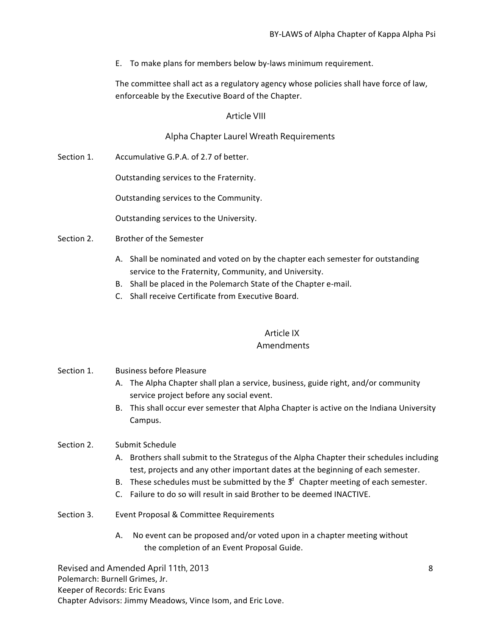E. To make plans for members below by-laws minimum requirement.

The committee shall act as a regulatory agency whose policies shall have force of law, enforceable by the Executive Board of the Chapter.

# Article VIII

# Alpha Chapter Laurel Wreath Requirements

Accumulative G.P.A. of 2.7 of better. Section 1.

Outstanding services to the Fraternity.

Outstanding services to the Community.

Outstanding services to the University.

Brother of the Semester Section 2.

- A. Shall be nominated and voted on by the chapter each semester for outstanding service to the Fraternity, Community, and University.
- B. Shall be placed in the Polemarch State of the Chapter e-mail.
- C. Shall receive Certificate from Executive Board.

# Article IX Amendments

# Section 1. Business before Pleasure

- A. The Alpha Chapter shall plan a service, business, guide right, and/or community service project before any social event.
- B. This shall occur ever semester that Alpha Chapter is active on the Indiana University Campus.

#### Section 2. Submit Schedule

- A. Brothers shall submit to the Strategus of the Alpha Chapter their schedules including test, projects and any other important dates at the beginning of each semester.
- B. These schedules must be submitted by the  $3<sup>d</sup>$  Chapter meeting of each semester.
- C. Failure to do so will result in said Brother to be deemed INACTIVE.
- Section 3. Event Proposal & Committee Requirements
	- A. No event can be proposed and/or voted upon in a chapter meeting without the completion of an Event Proposal Guide.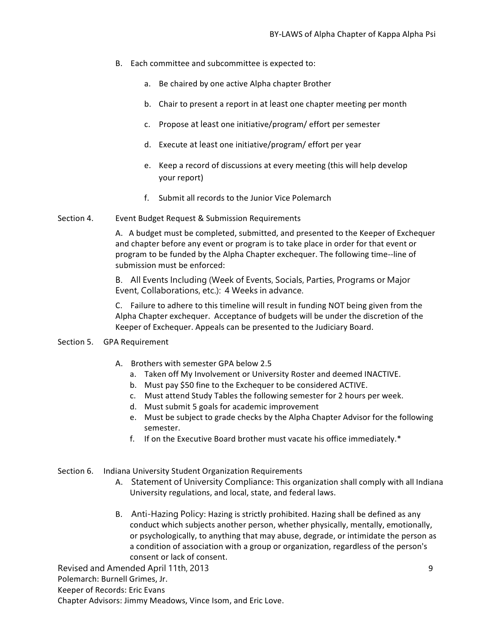- B. Each committee and subcommittee is expected to:
	- a. Be chaired by one active Alpha chapter Brother
	- b. Chair to present a report in at least one chapter meeting per month
	- c. Propose at least one initiative/program/ effort per semester
	- d. Execute at least one initiative/program/ effort per year
	- e. Keep a record of discussions at every meeting (this will help develop your report)
	- f. Submit all records to the Junior Vice Polemarch
- Section 4. Event Budget Request & Submission Requirements

A. A budget must be completed, submitted, and presented to the Keeper of Exchequer and chapter before any event or program is to take place in order for that event or program to be funded by the Alpha Chapter exchequer. The following time--line of submission must be enforced:

B. All Events Including (Week of Events, Socials, Parties, Programs or Major Event, Collaborations, etc.): 4 Weeks in advance.

C. Failure to adhere to this timeline will result in funding NOT being given from the Alpha Chapter exchequer. Acceptance of budgets will be under the discretion of the Keeper of Exchequer. Appeals can be presented to the Judiciary Board.

### Section 5. GPA Requirement

- A. Brothers with semester GPA below 2.5
	- a. Taken off My Involvement or University Roster and deemed INACTIVE.
	- b. Must pay \$50 fine to the Exchequer to be considered ACTIVE.
	- c. Must attend Study Tables the following semester for 2 hours per week.
	- d. Must submit 5 goals for academic improvement
	- e. Must be subject to grade checks by the Alpha Chapter Advisor for the following semester.
	- f. If on the Executive Board brother must vacate his office immediately.\*

# Section 6. Indiana University Student Organization Requirements

- A. Statement of University Compliance: This organization shall comply with all Indiana University regulations, and local, state, and federal laws.
- B. Anti-Hazing Policy: Hazing is strictly prohibited. Hazing shall be defined as any conduct which subjects another person, whether physically, mentally, emotionally, or psychologically, to anything that may abuse, degrade, or intimidate the person as a condition of association with a group or organization, regardless of the person's consent or lack of consent.